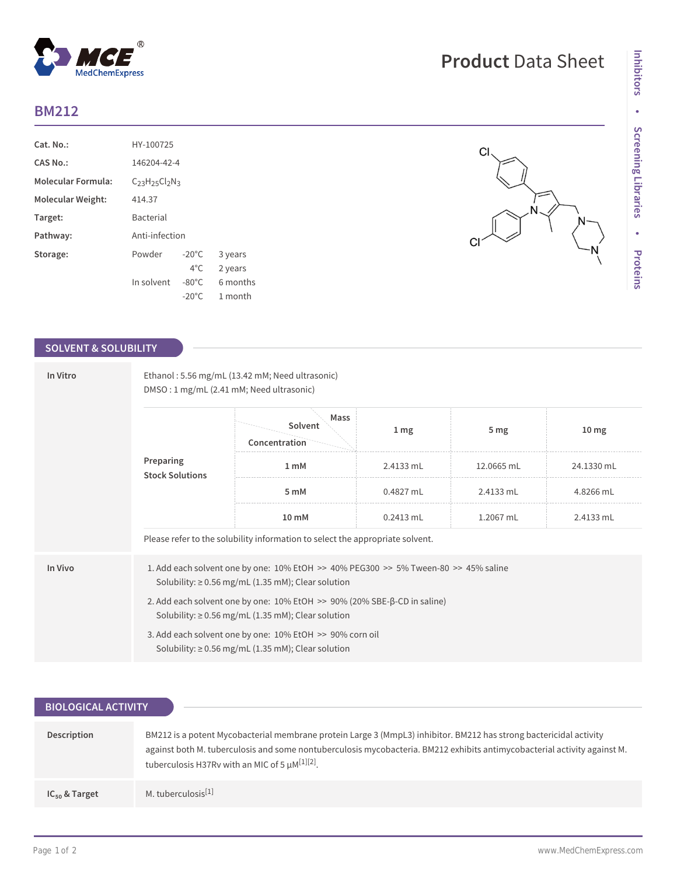## **BM212**

| Cat. No.:                 | HY-100725             |                  |          |  |  |  |
|---------------------------|-----------------------|------------------|----------|--|--|--|
| CAS No.:                  |                       | 146204-42-4      |          |  |  |  |
| <b>Molecular Formula:</b> | $C_{23}H_{25}Cl_2N_3$ |                  |          |  |  |  |
| Molecular Weight:         | 414.37                |                  |          |  |  |  |
| Target:                   | <b>Bacterial</b>      |                  |          |  |  |  |
| Pathway:                  | Anti-infection        |                  |          |  |  |  |
| Storage:                  | Powder                | $-20^{\circ}$ C  | 3 years  |  |  |  |
|                           |                       | $4^{\circ}$ C.   | 2 years  |  |  |  |
|                           | In solvent            | $-80^{\circ}$ C. | 6 months |  |  |  |
|                           |                       | $-20^{\circ}$ C  | 1 month  |  |  |  |

 $^{\circledR}$ 

MedChemExpress

### **SOLVENT & SOLUBILITY**

| In Vitro | Ethanol: 5.56 mg/mL (13.42 mM; Need ultrasonic)<br>DMSO: 1 mg/mL (2.41 mM; Need ultrasonic)                                                    |                                  |                 |                 |                  |  |  |
|----------|------------------------------------------------------------------------------------------------------------------------------------------------|----------------------------------|-----------------|-----------------|------------------|--|--|
|          | Preparing<br><b>Stock Solutions</b>                                                                                                            | Mass<br>Solvent<br>Concentration | 1 <sub>mg</sub> | 5 <sub>mg</sub> | 10 <sub>mg</sub> |  |  |
|          |                                                                                                                                                | 1 <sub>mM</sub>                  | 2.4133 mL       | 12.0665 mL      | 24.1330 mL       |  |  |
|          |                                                                                                                                                | 5 mM                             | $0.4827$ mL     | 2.4133 mL       | 4.8266 mL        |  |  |
|          |                                                                                                                                                | 10 mM                            | $0.2413$ mL     | 1.2067 mL       | 2.4133 mL        |  |  |
|          | Please refer to the solubility information to select the appropriate solvent.                                                                  |                                  |                 |                 |                  |  |  |
| In Vivo  | 1. Add each solvent one by one: 10% EtOH >> 40% PEG300 >> 5% Tween-80 >> 45% saline<br>Solubility: $\geq$ 0.56 mg/mL (1.35 mM); Clear solution |                                  |                 |                 |                  |  |  |
|          | 2. Add each solvent one by one: 10% EtOH >> 90% (20% SBE-β-CD in saline)<br>Solubility: $\geq$ 0.56 mg/mL (1.35 mM); Clear solution            |                                  |                 |                 |                  |  |  |
|          | 3. Add each solvent one by one: 10% EtOH >> 90% corn oil<br>Solubility: $\geq$ 0.56 mg/mL (1.35 mM); Clear solution                            |                                  |                 |                 |                  |  |  |

# **Product** Data Sheet

 $CI$ 

 $\mathsf{C}$